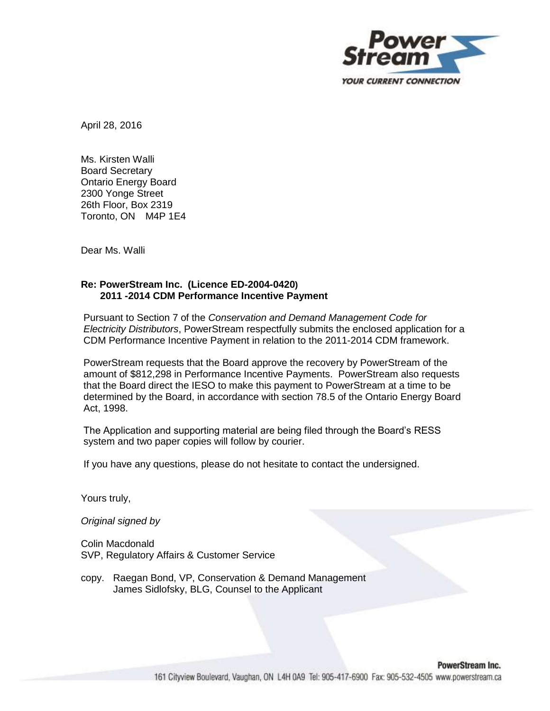

April 28, 2016

Ms. Kirsten Walli Board Secretary Ontario Energy Board 2300 Yonge Street 26th Floor, Box 2319 Toronto, ON M4P 1E4

Dear Ms. Walli

### **Re: PowerStream Inc. (Licence ED-2004-0420) 2011 -2014 CDM Performance Incentive Payment**

Pursuant to Section 7 of the *Conservation and Demand Management Code for Electricity Distributors*, PowerStream respectfully submits the enclosed application for a CDM Performance Incentive Payment in relation to the 2011-2014 CDM framework.

PowerStream requests that the Board approve the recovery by PowerStream of the amount of \$812,298 in Performance Incentive Payments. PowerStream also requests that the Board direct the IESO to make this payment to PowerStream at a time to be determined by the Board, in accordance with section 78.5 of the Ontario Energy Board Act, 1998.

The Application and supporting material are being filed through the Board's RESS system and two paper copies will follow by courier.

If you have any questions, please do not hesitate to contact the undersigned.

Yours truly,

*Original signed by*

Colin Macdonald SVP, Regulatory Affairs & Customer Service

copy. Raegan Bond, VP, Conservation & Demand Management James Sidlofsky, BLG, Counsel to the Applicant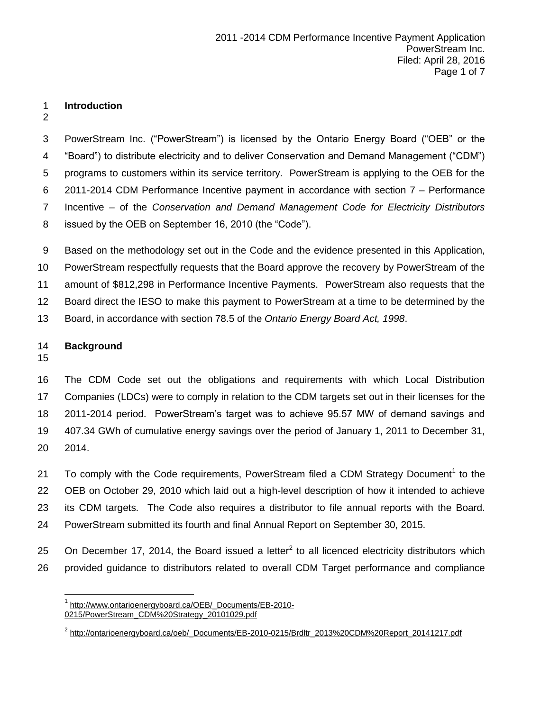# **Introduction**

 PowerStream Inc. ("PowerStream") is licensed by the Ontario Energy Board ("OEB" or the "Board") to distribute electricity and to deliver Conservation and Demand Management ("CDM") programs to customers within its service territory. PowerStream is applying to the OEB for the 2011-2014 CDM Performance Incentive payment in accordance with section 7 – Performance Incentive – of the *Conservation and Demand Management Code for Electricity Distributors* issued by the OEB on September 16, 2010 (the "Code").

 Based on the methodology set out in the Code and the evidence presented in this Application, PowerStream respectfully requests that the Board approve the recovery by PowerStream of the amount of \$812,298 in Performance Incentive Payments. PowerStream also requests that the Board direct the IESO to make this payment to PowerStream at a time to be determined by the Board, in accordance with section 78.5 of the *Ontario Energy Board Act, 1998*.

## **Background**

 $\overline{a}$ 

 The CDM Code set out the obligations and requirements with which Local Distribution Companies (LDCs) were to comply in relation to the CDM targets set out in their licenses for the 2011-2014 period. PowerStream's target was to achieve 95.57 MW of demand savings and 407.34 GWh of cumulative energy savings over the period of January 1, 2011 to December 31, 2014.

21 To comply with the Code requirements, PowerStream filed a CDM Strategy Document<sup>1</sup> to the OEB on October 29, 2010 which laid out a high-level description of how it intended to achieve its CDM targets. The Code also requires a distributor to file annual reports with the Board. PowerStream submitted its fourth and final Annual Report on September 30, 2015.

25 On December 17, 2014, the Board issued a letter<sup>2</sup> to all licenced electricity distributors which provided guidance to distributors related to overall CDM Target performance and compliance

 [http://www.ontarioenergyboard.ca/OEB/\\_Documents/EB-2010-](http://www.ontarioenergyboard.ca/OEB/_Documents/EB-2010-0215/PowerStream_CDM%20Strategy_20101029.pdf) [0215/PowerStream\\_CDM%20Strategy\\_20101029.pdf](http://www.ontarioenergyboard.ca/OEB/_Documents/EB-2010-0215/PowerStream_CDM%20Strategy_20101029.pdf)

<sup>&</sup>lt;sup>2</sup> [http://ontarioenergyboard.ca/oeb/\\_Documents/EB-2010-0215/Brdltr\\_2013%20CDM%20Report\\_20141217.pdf](http://ontarioenergyboard.ca/oeb/_Documents/EB-2010-0215/Brdltr_2013%20CDM%20Report_20141217.pdf)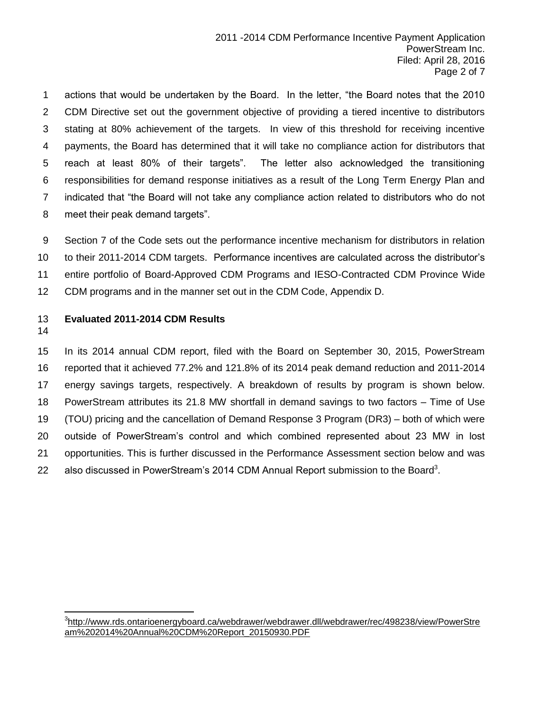actions that would be undertaken by the Board. In the letter, "the Board notes that the 2010 CDM Directive set out the government objective of providing a tiered incentive to distributors stating at 80% achievement of the targets. In view of this threshold for receiving incentive payments, the Board has determined that it will take no compliance action for distributors that reach at least 80% of their targets". The letter also acknowledged the transitioning responsibilities for demand response initiatives as a result of the Long Term Energy Plan and indicated that "the Board will not take any compliance action related to distributors who do not meet their peak demand targets".

 Section 7 of the Code sets out the performance incentive mechanism for distributors in relation to their 2011-2014 CDM targets. Performance incentives are calculated across the distributor's entire portfolio of Board-Approved CDM Programs and IESO-Contracted CDM Province Wide CDM programs and in the manner set out in the CDM Code, Appendix D.

### **Evaluated 2011-2014 CDM Results**

 In its 2014 annual CDM report, filed with the Board on September 30, 2015, PowerStream reported that it achieved 77.2% and 121.8% of its 2014 peak demand reduction and 2011-2014 energy savings targets, respectively. A breakdown of results by program is shown below. PowerStream attributes its 21.8 MW shortfall in demand savings to two factors – Time of Use (TOU) pricing and the cancellation of Demand Response 3 Program (DR3) – both of which were outside of PowerStream's control and which combined represented about 23 MW in lost opportunities. This is further discussed in the Performance Assessment section below and was 22 also discussed in PowerStream's 2014 CDM Annual Report submission to the Board<sup>3</sup>.

 3 [http://www.rds.ontarioenergyboard.ca/webdrawer/webdrawer.dll/webdrawer/rec/498238/view/PowerStre](http://www.rds.ontarioenergyboard.ca/webdrawer/webdrawer.dll/webdrawer/rec/498238/view/PowerStream%202014%20Annual%20CDM%20Report_20150930.PDF) [am%202014%20Annual%20CDM%20Report\\_20150930.PDF](http://www.rds.ontarioenergyboard.ca/webdrawer/webdrawer.dll/webdrawer/rec/498238/view/PowerStream%202014%20Annual%20CDM%20Report_20150930.PDF)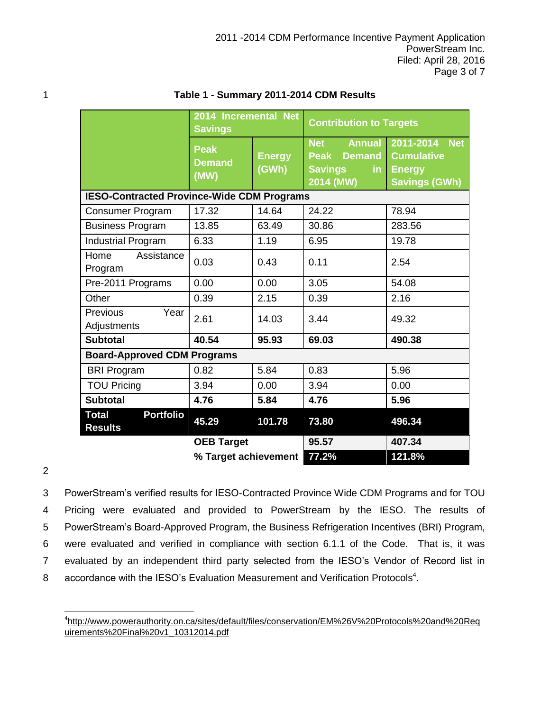|                                                    | 2014 Incremental Net<br><b>Savings</b>    |                        | <b>Contribution to Targets</b>                                                                    |                                                                                       |
|----------------------------------------------------|-------------------------------------------|------------------------|---------------------------------------------------------------------------------------------------|---------------------------------------------------------------------------------------|
|                                                    | <b>Peak</b><br><b>Demand</b><br>(MW)      | <b>Energy</b><br>(GWh) | <b>Net</b><br><b>Annual</b><br><b>Peak</b><br><b>Demand</b><br><b>Savings</b><br>in.<br>2014 (MW) | 2011-2014<br><b>Net</b><br><b>Cumulative</b><br><b>Energy</b><br><b>Savings (GWh)</b> |
| <b>IESO-Contracted Province-Wide CDM Programs</b>  |                                           |                        |                                                                                                   |                                                                                       |
| <b>Consumer Program</b>                            | 17.32                                     | 14.64                  | 24.22                                                                                             | 78.94                                                                                 |
| <b>Business Program</b>                            | 13.85                                     | 63.49                  | 30.86                                                                                             | 283.56                                                                                |
| <b>Industrial Program</b>                          | 6.33                                      | 1.19                   | 6.95                                                                                              | 19.78                                                                                 |
| Home<br>Assistance<br>Program                      | 0.03                                      | 0.43                   | 0.11                                                                                              | 2.54                                                                                  |
| Pre-2011 Programs                                  | 0.00                                      | 0.00                   | 3.05                                                                                              | 54.08                                                                                 |
| Other                                              | 0.39                                      | 2.15                   | 0.39                                                                                              | 2.16                                                                                  |
| Year<br>Previous<br>Adjustments                    | 2.61                                      | 14.03                  | 3.44                                                                                              | 49.32                                                                                 |
| <b>Subtotal</b>                                    | 40.54                                     | 95.93                  | 69.03                                                                                             | 490.38                                                                                |
| <b>Board-Approved CDM Programs</b>                 |                                           |                        |                                                                                                   |                                                                                       |
| <b>BRI Program</b>                                 | 0.82                                      | 5.84                   | 0.83                                                                                              | 5.96                                                                                  |
| <b>TOU Pricing</b>                                 | 3.94                                      | 0.00                   | 3.94                                                                                              | 0.00                                                                                  |
| <b>Subtotal</b>                                    | 4.76                                      | 5.84                   | 4.76                                                                                              | 5.96                                                                                  |
| <b>Total</b><br><b>Portfolio</b><br><b>Results</b> | 45.29                                     | 101.78                 | 73.80                                                                                             | 496.34                                                                                |
|                                                    | <b>OEB Target</b><br>% Target achievement |                        | 95.57                                                                                             | 407.34                                                                                |
|                                                    |                                           |                        | 77.2%                                                                                             | 121.8%                                                                                |

# 1 **Table 1 - Summary 2011-2014 CDM Results**

2

 PowerStream's verified results for IESO-Contracted Province Wide CDM Programs and for TOU Pricing were evaluated and provided to PowerStream by the IESO. The results of PowerStream's Board-Approved Program, the Business Refrigeration Incentives (BRI) Program, were evaluated and verified in compliance with section 6.1.1 of the Code. That is, it was evaluated by an independent third party selected from the IESO's Vendor of Record list in 8 accordance with the IESO's Evaluation Measurement and Verification Protocols<sup>4</sup>.

 $\overline{\phantom{a}}$ 4 [http://www.powerauthority.on.ca/sites/default/files/conservation/EM%26V%20Protocols%20and%20Req](http://www.powerauthority.on.ca/sites/default/files/conservation/EM%26V%20Protocols%20and%20Requirements%20Final%20v1_10312014.pdf) [uirements%20Final%20v1\\_10312014.pdf](http://www.powerauthority.on.ca/sites/default/files/conservation/EM%26V%20Protocols%20and%20Requirements%20Final%20v1_10312014.pdf)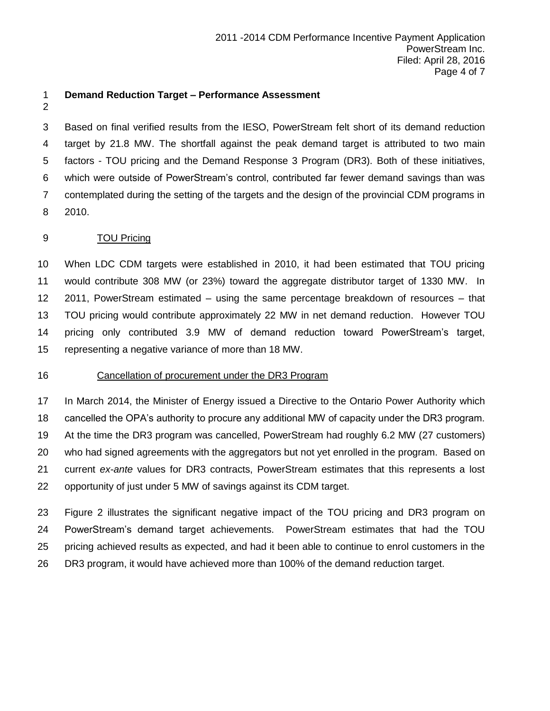#### **Demand Reduction Target – Performance Assessment**

 Based on final verified results from the IESO, PowerStream felt short of its demand reduction target by 21.8 MW. The shortfall against the peak demand target is attributed to two main factors - TOU pricing and the Demand Response 3 Program (DR3). Both of these initiatives, which were outside of PowerStream's control, contributed far fewer demand savings than was contemplated during the setting of the targets and the design of the provincial CDM programs in 2010.

#### TOU Pricing

 When LDC CDM targets were established in 2010, it had been estimated that TOU pricing would contribute 308 MW (or 23%) toward the aggregate distributor target of 1330 MW. In 2011, PowerStream estimated – using the same percentage breakdown of resources – that TOU pricing would contribute approximately 22 MW in net demand reduction. However TOU pricing only contributed 3.9 MW of demand reduction toward PowerStream's target, representing a negative variance of more than 18 MW.

#### Cancellation of procurement under the DR3 Program

 In March 2014, the Minister of Energy issued a Directive to the Ontario Power Authority which cancelled the OPA's authority to procure any additional MW of capacity under the DR3 program. At the time the DR3 program was cancelled, PowerStream had roughly 6.2 MW (27 customers) who had signed agreements with the aggregators but not yet enrolled in the program. Based on current *ex-ante* values for DR3 contracts, PowerStream estimates that this represents a lost opportunity of just under 5 MW of savings against its CDM target.

 Figure 2 illustrates the significant negative impact of the TOU pricing and DR3 program on PowerStream's demand target achievements. PowerStream estimates that had the TOU pricing achieved results as expected, and had it been able to continue to enrol customers in the DR3 program, it would have achieved more than 100% of the demand reduction target.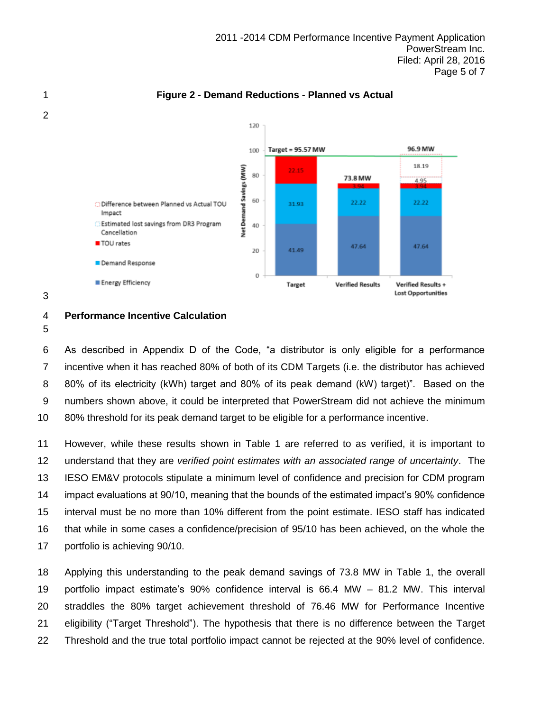

#### **Figure 2 - Demand Reductions - Planned vs Actual**

#### **Performance Incentive Calculation**

 As described in Appendix D of the Code, "a distributor is only eligible for a performance incentive when it has reached 80% of both of its CDM Targets (i.e. the distributor has achieved 80% of its electricity (kWh) target and 80% of its peak demand (kW) target)". Based on the numbers shown above, it could be interpreted that PowerStream did not achieve the minimum 80% threshold for its peak demand target to be eligible for a performance incentive.

 However, while these results shown in Table 1 are referred to as verified, it is important to understand that they are *verified point estimates with an associated range of uncertainty*. The IESO EM&V protocols stipulate a minimum level of confidence and precision for CDM program impact evaluations at 90/10, meaning that the bounds of the estimated impact's 90% confidence interval must be no more than 10% different from the point estimate. IESO staff has indicated that while in some cases a confidence/precision of 95/10 has been achieved, on the whole the portfolio is achieving 90/10.

 Applying this understanding to the peak demand savings of 73.8 MW in Table 1, the overall portfolio impact estimate's 90% confidence interval is 66.4 MW – 81.2 MW. This interval straddles the 80% target achievement threshold of 76.46 MW for Performance Incentive eligibility ("Target Threshold"). The hypothesis that there is no difference between the Target Threshold and the true total portfolio impact cannot be rejected at the 90% level of confidence.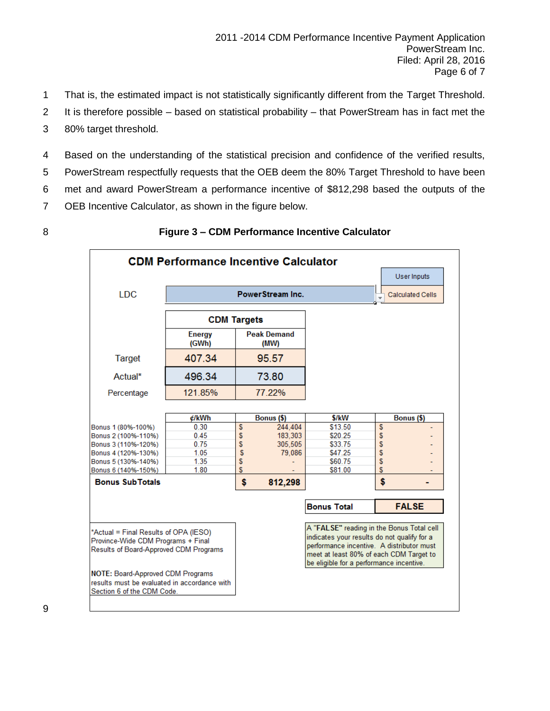- That is, the estimated impact is not statistically significantly different from the Target Threshold.
- It is therefore possible based on statistical probability that PowerStream has in fact met the
- 80% target threshold.
- Based on the understanding of the statistical precision and confidence of the verified results,
- PowerStream respectfully requests that the OEB deem the 80% Target Threshold to have been
- met and award PowerStream a performance incentive of \$812,298 based the outputs of the
- OEB Incentive Calculator, as shown in the figure below.
- 

## **Figure 3 – CDM Performance Incentive Calculator**